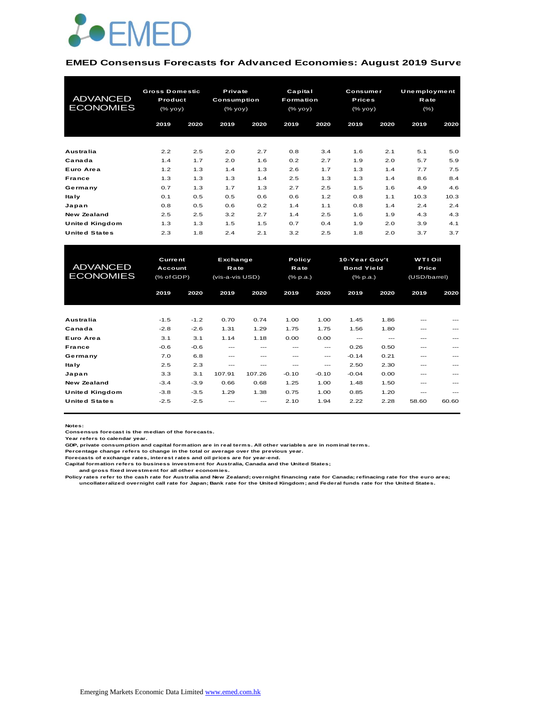

#### **EMED Consensus Forecasts for Advanced Economies: August 2019 Survey**

| <b>ADVANCED</b><br><b>ECONOMIES</b> | <b>Gross Domestic</b><br>Product<br>(% yoy) |      | Private<br><b>Consumption</b><br>(% yoy) |      | Capital<br><b>Formation</b><br>(% |      | Consumer<br><b>Prices</b><br>(% |      | Unemployment<br>Rate<br>$(\% )$ |      |
|-------------------------------------|---------------------------------------------|------|------------------------------------------|------|-----------------------------------|------|---------------------------------|------|---------------------------------|------|
|                                     | 2019                                        | 2020 | 2019                                     | 2020 | 2019                              | 2020 | 2019                            | 2020 | 2019                            | 2020 |
| Australia                           | 2.2                                         | 2.5  | 2.0                                      | 2.7  | 0.8                               | 3.4  | 1.6                             | 2.1  | 5.1                             | 5.0  |
| Canada                              | 1.4                                         | 1.7  | 2.0                                      | 1.6  | 0.2                               | 2.7  | 1.9                             | 2.0  | 5.7                             | 5.9  |
| Euro Area                           | 1.2                                         | 1.3  | 1.4                                      | 1.3  | 2.6                               | 1.7  | 1.3                             | 1.4  | 7.7                             | 7.5  |
| France                              | 1.3                                         | 1.3  | 1.3                                      | 1.4  | 2.5                               | 1.3  | 1.3                             | 1.4  | 8.6                             | 8.4  |
| Germany                             | 0.7                                         | 1.3  | 1.7                                      | 1.3  | 2.7                               | 2.5  | 1.5                             | 1.6  | 4.9                             | 4.6  |
| <b>Italy</b>                        | 0.1                                         | 0.5  | 0.5                                      | 0.6  | 0.6                               | 1.2  | 0.8                             | 1.1  | 10.3                            | 10.3 |
| Japan                               | 0.8                                         | 0.5  | 0.6                                      | 0.2  | 1.4                               | 1.1  | 0.8                             | 1.4  | 2.4                             | 2.4  |
| <b>New Zealand</b>                  | 2.5                                         | 2.5  | 3.2                                      | 2.7  | 1.4                               | 2.5  | 1.6                             | 1.9  | 4.3                             | 4.3  |
| United Kingdom                      | 1.3                                         | 1.3  | 1.5                                      | 1.5  | 0.7                               | 0.4  | 1.9                             | 2.0  | 3.9                             | 4.1  |
| <b>United States</b>                | 2.3                                         | 1.8  | 2.4                                      | 2.1  | 3.2                               | 2.5  | 1.8                             | 2.0  | 3.7                             | 3.7  |

| United Kingdom       | 1.3                       | 1.3    | 1.5                    | 1.5      | 0.7               | 0.4     | 1.9             | 2.0   | 3.9            | 4.1         |  |  |
|----------------------|---------------------------|--------|------------------------|----------|-------------------|---------|-----------------|-------|----------------|-------------|--|--|
| <b>United States</b> | 2.3                       | 1.8    | 2.4                    | 2.1      | 3.2               | 2.5     | 1.8             | 2.0   | 3.7            | 3.7         |  |  |
|                      |                           |        |                        |          |                   |         |                 |       |                |             |  |  |
|                      | <b>Current</b><br>Account |        |                        | Exchange |                   |         | 10-Year Gov't   |       | <b>WTI Oil</b> |             |  |  |
| <b>ADVANCED</b>      |                           |        | Policy<br>Rate<br>Rate |          | <b>Bond Yield</b> |         |                 | Price |                |             |  |  |
| <b>ECONOMIES</b>     | (% of GDP)                |        | (vis-a-vis USD)        |          | (% p.a.)          |         | $(%$ $(% p.a.)$ |       | (USD/barrel)   | 2020<br>--- |  |  |
|                      |                           |        |                        |          |                   |         |                 |       |                |             |  |  |
|                      | 2019                      | 2020   | 2019                   | 2020     | 2019              | 2020    | 2019            | 2020  | 2019           |             |  |  |
|                      |                           |        |                        |          |                   |         |                 |       |                |             |  |  |
| Australia            | $-1.5$                    | $-1.2$ | 0.70                   | 0.74     | 1.00              | 1.00    | 1.45            | 1.86  | ---            |             |  |  |
| Canada               | $-2.8$                    | $-2.6$ | 1.31                   | 1.29     | 1.75              | 1.75    | 1.56            | 1.80  | ---            |             |  |  |
| Euro Area            | 3.1                       | 3.1    | 1.14                   | 1.18     | 0.00              | 0.00    | $---$           | $---$ | ---            |             |  |  |
| France               | $-0.6$                    | $-0.6$ | ---                    | ---      | ---               | ---     | 0.26            | 0.50  | ---            |             |  |  |
| Germany              | 7.0                       | 6.8    | ---                    | ---      | ---               | ---     | $-0.14$         | 0.21  | ---            |             |  |  |
| <b>Italy</b>         | 2.5                       | 2.3    | ---                    | ---      | ---               | ---     | 2.50            | 2.30  | ---            |             |  |  |
| Japan                | 3.3                       | 3.1    | 107.91                 | 107.26   | $-0.10$           | $-0.10$ | $-0.04$         | 0.00  | ---            | ---         |  |  |
| <b>New Zealand</b>   | $-3.4$                    | $-3.9$ | 0.66                   | 0.68     | 1.25              | 1.00    | 1.48            | 1.50  | ---            |             |  |  |
| United Kingdom       | $-3.8$                    | $-3.5$ | 1.29                   | 1.38     | 0.75              | 1.00    | 0.85            | 1.20  | $---$          | ---         |  |  |
| <b>United States</b> | $-2.5$                    | $-2.5$ |                        |          | 2.10              | 1.94    | 2.22            | 2.28  | 58.60          | 60.60       |  |  |
|                      |                           |        |                        |          |                   |         |                 |       |                |             |  |  |

**Notes:** 

**Consensus forecast is the median of the forecasts.**

**Year refers to calendar year.**

**GDP, private consumption and capital formation are in real terms. All other variables are in nominal terms.**

**Percentage change refers to change in the total or average over the previous year.**

**Forecasts of exchange rates, interest rates and oil prices are for year-end.**

**Capital formation refers to business investment for Australia, Canada and the United States; and gross fixed investment for all other economies.**

**Policy rates refer to the cash rate for Australia and New Zealand; overnight financing rate for Canada; refinacing rate for the euro area; uncollateralized overnight call rate for Japan; Bank rate for the United Kingdom; and Federal funds rate for the United States.**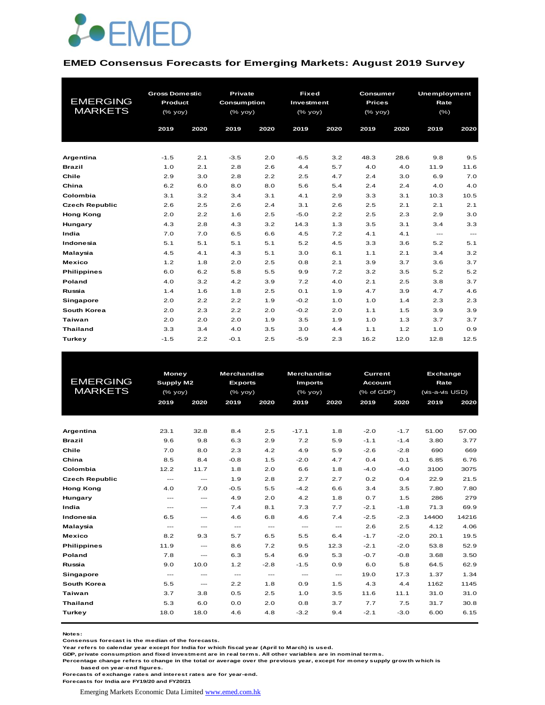

#### **EMED Consensus Forecasts for Emerging Markets: August 2019 Survey**

| <b>EMERGING</b><br><b>MARKETS</b> | <b>Gross Domestic</b><br>Product<br>(% yoy)<br>2019<br>2020 |     | <b>Private</b><br>Consumption<br>(% yoy)<br>2019<br>2020 |     | <b>Fixed</b><br>Investment<br>(% yoy)<br>2019<br>2020 |     | Consumer<br><b>Prices</b><br>(% yoy)<br>2019<br>2020 |      | <b>Unemployment</b><br>Rate<br>$(\% )$<br>2019<br>2020 |                        |
|-----------------------------------|-------------------------------------------------------------|-----|----------------------------------------------------------|-----|-------------------------------------------------------|-----|------------------------------------------------------|------|--------------------------------------------------------|------------------------|
|                                   |                                                             |     |                                                          |     |                                                       |     |                                                      |      |                                                        |                        |
| Argentina                         | $-1.5$                                                      | 2.1 | $-3.5$                                                   | 2.0 | $-6.5$                                                | 3.2 | 48.3                                                 | 28.6 | 9.8                                                    | 9.5                    |
| <b>Brazil</b>                     | 1.0                                                         | 2.1 | 2.8                                                      | 2.6 | 4.4                                                   | 5.7 | 4.0                                                  | 4.0  | 11.9                                                   | 11.6                   |
| Chile                             | 2.9                                                         | 3.0 | 2.8                                                      | 2.2 | 2.5                                                   | 4.7 | 2.4                                                  | 3.0  | 6.9                                                    | 7.0                    |
| China                             | 6.2                                                         | 6.0 | 8.0                                                      | 8.0 | 5.6                                                   | 5.4 | 2.4                                                  | 2.4  | 4.0                                                    | 4.0                    |
| Colombia                          | 3.1                                                         | 3.2 | 3.4                                                      | 3.1 | 4.1                                                   | 2.9 | 3.3                                                  | 3.1  | 10.3                                                   | 10.5                   |
| <b>Czech Republic</b>             | 2.6                                                         | 2.5 | 2.6                                                      | 2.4 | 3.1                                                   | 2.6 | 2.5                                                  | 2.1  | 2.1                                                    | 2.1                    |
| <b>Hong Kong</b>                  | 2.0                                                         | 2.2 | 1.6                                                      | 2.5 | $-5.0$                                                | 2.2 | 2.5                                                  | 2.3  | 2.9                                                    | 3.0                    |
| Hungary                           | 4.3                                                         | 2.8 | 4.3                                                      | 3.2 | 14.3                                                  | 1.3 | 3.5                                                  | 3.1  | 3.4                                                    | 3.3                    |
| India                             | 7.0                                                         | 7.0 | 6.5                                                      | 6.6 | 4.5                                                   | 7.2 | 4.1                                                  | 4.1  | ---                                                    | $\qquad \qquad \cdots$ |
| Indonesia                         | 5.1                                                         | 5.1 | 5.1                                                      | 5.1 | 5.2                                                   | 4.5 | 3.3                                                  | 3.6  | 5.2                                                    | 5.1                    |
| Malaysia                          | 4.5                                                         | 4.1 | 4.3                                                      | 5.1 | 3.0                                                   | 6.1 | 1.1                                                  | 2.1  | 3.4                                                    | 3.2                    |
| <b>Mexico</b>                     | 1.2                                                         | 1.8 | 2.0                                                      | 2.5 | 0.8                                                   | 2.1 | 3.9                                                  | 3.7  | 3.6                                                    | 3.7                    |
| <b>Philippines</b>                | 6.0                                                         | 6.2 | 5.8                                                      | 5.5 | 9.9                                                   | 7.2 | 3.2                                                  | 3.5  | 5.2                                                    | 5.2                    |
| Poland                            | 4.0                                                         | 3.2 | 4.2                                                      | 3.9 | 7.2                                                   | 4.0 | 2.1                                                  | 2.5  | 3.8                                                    | 3.7                    |
| Russia                            | 1.4                                                         | 1.6 | 1.8                                                      | 2.5 | 0.1                                                   | 1.9 | 4.7                                                  | 3.9  | 4.7                                                    | 4.6                    |
| Singapore                         | 2.0                                                         | 2.2 | 2.2                                                      | 1.9 | $-0.2$                                                | 1.0 | 1.0                                                  | 1.4  | 2.3                                                    | 2.3                    |
| South Korea                       | 2.0                                                         | 2.3 | 2.2                                                      | 2.0 | $-0.2$                                                | 2.0 | 1.1                                                  | 1.5  | 3.9                                                    | 3.9                    |
| <b>Taiwan</b>                     | 2.0                                                         | 2.0 | 2.0                                                      | 1.9 | 3.5                                                   | 1.9 | 1.0                                                  | 1.3  | 3.7                                                    | 3.7                    |
| <b>Thailand</b>                   | 3.3                                                         | 3.4 | 4.0                                                      | 3.5 | 3.0                                                   | 4.4 | 1.1                                                  | 1.2  | 1.0                                                    | 0.9                    |
| <b>Turkey</b>                     | $-1.5$                                                      | 2.2 | $-0.1$                                                   | 2.5 | $-5.9$                                                | 2.3 | 16.2                                                 | 12.0 | 12.8                                                   | 12.5                   |

|                       | Money         |                                          | <b>Merchandise</b> |               | <b>Merchandise</b>                       |                                          | <b>Current</b> |                | <b>Exchange</b> |       |  |
|-----------------------|---------------|------------------------------------------|--------------------|---------------|------------------------------------------|------------------------------------------|----------------|----------------|-----------------|-------|--|
| <b>EMERGING</b>       | Supply M2     |                                          | <b>Exports</b>     |               | <b>Imports</b>                           |                                          |                | <b>Account</b> |                 | Rate  |  |
| <b>MARKETS</b>        | (% yoy)       |                                          | (% yoy)            |               | (% yoy)                                  |                                          | (% of GDP)     |                | (vis-a-vis USD) |       |  |
|                       | 2019          | 2020                                     | 2019               | 2020          | 2019                                     | 2020                                     | 2019           | 2020           | 2019            | 2020  |  |
|                       |               |                                          |                    |               |                                          |                                          |                |                |                 |       |  |
|                       |               |                                          |                    |               |                                          |                                          |                |                |                 |       |  |
| Argentina             | 23.1          | 32.8                                     | 8.4                | 2.5           | $-17.1$                                  | 1.8                                      | $-2.0$         | $-1.7$         | 51.00           | 57.00 |  |
| <b>Brazil</b>         | 9.6           | 9.8                                      | 6.3                | 2.9           | 7.2                                      | 5.9                                      | $-1.1$         | $-1.4$         | 3.80            | 3.77  |  |
| Chile                 | 7.0           | 8.0                                      | 2.3                | 4.2           | 4.9                                      | 5.9                                      | $-2.6$         | $-2.8$         | 690             | 669   |  |
| China                 | 8.5           | 8.4                                      | $-0.8$             | 1.5           | $-2.0$                                   | 4.7                                      | 0.4            | 0.1            | 6.85            | 6.76  |  |
| Colombia              | 12.2          | 11.7                                     | 1.8                | 2.0           | 6.6                                      | 1.8                                      | $-4.0$         | $-4.0$         | 3100            | 3075  |  |
| <b>Czech Republic</b> | $- - -$       | $- - -$                                  | 1.9                | 2.8           | 2.7                                      | 2.7                                      | 0.2            | 0.4            | 22.9            | 21.5  |  |
| <b>Hong Kong</b>      | 4.0           | 7.0                                      | $-0.5$             | 5.5           | $-4.2$                                   | 6.6                                      | 3.4            | 3.5            | 7.80            | 7.80  |  |
| Hungary               | $- - -$       | $- - -$                                  | 4.9                | 2.0           | 4.2                                      | 1.8                                      | 0.7            | 1.5            | 286             | 279   |  |
| India                 | $\frac{1}{2}$ | $\qquad \qquad -$                        | 7.4                | 8.1           | 7.3                                      | 7.7                                      | $-2.1$         | $-1.8$         | 71.3            | 69.9  |  |
| Indonesia             | 6.5           | $\hspace{0.05cm} \ldots$                 | 4.6                | 6.8           | 4.6                                      | 7.4                                      | $-2.5$         | $-2.3$         | 14400           | 14216 |  |
| Malaysia              | $- - -$       | $\qquad \qquad -$                        | $\sim$ $\sim$      | $  -$         | $\hspace{0.05cm} \ldots \hspace{0.05cm}$ | $\hspace{0.05cm} \ldots \hspace{0.05cm}$ | 2.6            | 2.5            | 4.12            | 4.06  |  |
| <b>Mexico</b>         | 8.2           | 9.3                                      | 5.7                | 6.5           | 5.5                                      | 6.4                                      | $-1.7$         | $-2.0$         | 20.1            | 19.5  |  |
| <b>Philippines</b>    | 11.9          | $\hspace{0.05cm} \ldots$                 | 8.6                | 7.2           | 9.5                                      | 12.3                                     | $-2.1$         | $-2.0$         | 53.8            | 52.9  |  |
| Poland                | 7.8           | $\hspace{0.05cm} \ldots \hspace{0.05cm}$ | 6.3                | 5.4           | 6.9                                      | 5.3                                      | $-0.7$         | $-0.8$         | 3.68            | 3.50  |  |
| Russia                | 9.0           | 10.0                                     | 1.2                | $-2.8$        | $-1.5$                                   | 0.9                                      | 6.0            | 5.8            | 64.5            | 62.9  |  |
| <b>Singapore</b>      | $- - -$       | $\frac{1}{2}$                            | $\sim$ $\sim$      | $\frac{1}{2}$ | $\frac{1}{2}$                            | $  -$                                    | 19.0           | 17.3           | 1.37            | 1.34  |  |
| South Korea           | 5.5           | $\hspace{0.05cm} \ldots \hspace{0.05cm}$ | 2.2                | 1.8           | 0.9                                      | 1.5                                      | 4.3            | 4.4            | 1162            | 1145  |  |
| <b>Taiwan</b>         | 3.7           | 3.8                                      | 0.5                | 2.5           | 1.0                                      | 3.5                                      | 11.6           | 11.1           | 31.0            | 31.0  |  |
| <b>Thailand</b>       | 5.3           | 6.0                                      | 0.0                | 2.0           | 0.8                                      | 3.7                                      | 7.7            | 7.5            | 31.7            | 30.8  |  |
| <b>Turkey</b>         | 18.0          | 18.0                                     | 4.6                | 4.8           | $-3.2$                                   | 9.4                                      | $-2.1$         | $-3.0$         | 6.00            | 6.15  |  |
|                       |               |                                          |                    |               |                                          |                                          |                |                |                 |       |  |

**Notes:** 

**Consensus forecast is the median of the forecasts.**

**Year refers to calendar year except for India for which fiscal year (April to March) is used. GDP, private consumption and fixed investment are in real terms. All other variables are in nominal terms.**

**Percentage change refers to change in the total or average over the previous year, except for money supply growth which is based on year-end figures.**

**Forecasts of exchange rates and interest rates are for year-end.**

**Forecasts for India are FY19/20 and FY20/21**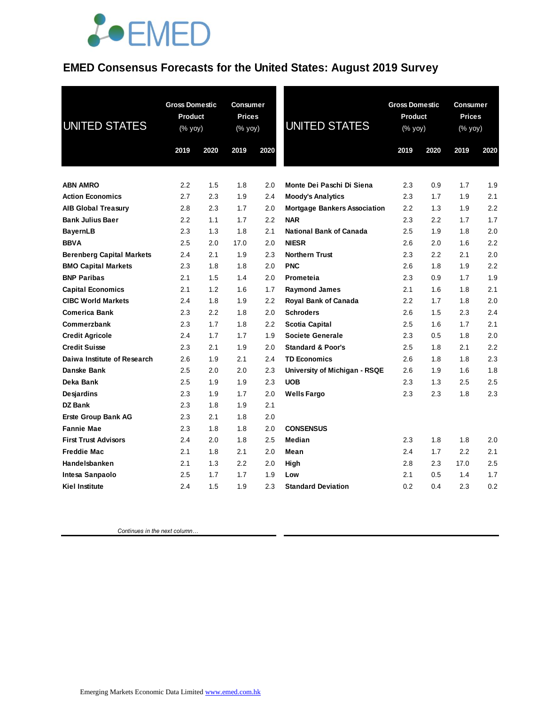#### **EMED Consensus Forecasts for the United States: August 2019 Survey**

| <b>UNITED STATES</b>             | <b>Gross Domestic</b><br>Product<br>(% yoy)<br>2019 | 2020 | <b>Consumer</b><br><b>Prices</b><br>(% yoy)<br>2019 | 2020 | <b>UNITED STATES</b>                | <b>Gross Domestic</b><br>Product<br>(% yoy)<br>2019<br>2020 |     | <b>Consumer</b><br><b>Prices</b><br>(% yoy)<br>2020<br>2019 |     |
|----------------------------------|-----------------------------------------------------|------|-----------------------------------------------------|------|-------------------------------------|-------------------------------------------------------------|-----|-------------------------------------------------------------|-----|
| <b>ABN AMRO</b>                  | 2.2                                                 | 1.5  | 1.8                                                 | 2.0  | Monte Dei Paschi Di Siena           | 2.3                                                         | 0.9 | 1.7                                                         | 1.9 |
| <b>Action Economics</b>          | 2.7                                                 | 2.3  | 1.9                                                 | 2.4  | <b>Moody's Analytics</b>            | 2.3                                                         | 1.7 | 1.9                                                         | 2.1 |
| <b>AIB Global Treasury</b>       | 2.8                                                 | 2.3  | 1.7                                                 | 2.0  | <b>Mortgage Bankers Association</b> | 2.2                                                         | 1.3 | 1.9                                                         | 2.2 |
| <b>Bank Julius Baer</b>          | 2.2                                                 | 1.1  | 1.7                                                 | 2.2  | <b>NAR</b>                          | 2.3                                                         | 2.2 | 1.7                                                         | 1.7 |
| <b>BayernLB</b>                  | 2.3                                                 | 1.3  | 1.8                                                 | 2.1  | <b>National Bank of Canada</b>      | 2.5                                                         | 1.9 | 1.8                                                         | 2.0 |
| <b>BBVA</b>                      | 2.5                                                 | 2.0  | 17.0                                                | 2.0  | <b>NIESR</b>                        | 2.6                                                         | 2.0 | 1.6                                                         | 2.2 |
| <b>Berenberg Capital Markets</b> | 2.4                                                 | 2.1  | 1.9                                                 | 2.3  | <b>Northern Trust</b>               | 2.3                                                         | 2.2 | 2.1                                                         | 2.0 |
| <b>BMO Capital Markets</b>       | 2.3                                                 | 1.8  | 1.8                                                 | 2.0  | <b>PNC</b>                          | 2.6                                                         | 1.8 | 1.9                                                         | 2.2 |
| <b>BNP Paribas</b>               | 2.1                                                 | 1.5  | 1.4                                                 | 2.0  | Prometeia                           | 2.3                                                         | 0.9 | 1.7                                                         | 1.9 |
| <b>Capital Economics</b>         | 2.1                                                 | 1.2  | 1.6                                                 | 1.7  | <b>Raymond James</b>                | 2.1                                                         | 1.6 | 1.8                                                         | 2.1 |
| <b>CIBC World Markets</b>        | 2.4                                                 | 1.8  | 1.9                                                 | 2.2  | Royal Bank of Canada                | 2.2                                                         | 1.7 | 1.8                                                         | 2.0 |
| <b>Comerica Bank</b>             | 2.3                                                 | 2.2  | 1.8                                                 | 2.0  | <b>Schroders</b>                    | 2.6                                                         | 1.5 | 2.3                                                         | 2.4 |
| Commerzbank                      | 2.3                                                 | 1.7  | 1.8                                                 | 2.2  | <b>Scotia Capital</b>               | 2.5                                                         | 1.6 | 1.7                                                         | 2.1 |
| <b>Credit Agricole</b>           | 2.4                                                 | 1.7  | 1.7                                                 | 1.9  | <b>Societe Generale</b>             | 2.3                                                         | 0.5 | 1.8                                                         | 2.0 |
| <b>Credit Suisse</b>             | 2.3                                                 | 2.1  | 1.9                                                 | 2.0  | <b>Standard &amp; Poor's</b>        | 2.5                                                         | 1.8 | 2.1                                                         | 2.2 |
| Daiwa Institute of Research      | 2.6                                                 | 1.9  | 2.1                                                 | 2.4  | <b>TD Economics</b>                 | 2.6                                                         | 1.8 | 1.8                                                         | 2.3 |
| Danske Bank                      | 2.5                                                 | 2.0  | 2.0                                                 | 2.3  | University of Michigan - RSQE       | 2.6                                                         | 1.9 | 1.6                                                         | 1.8 |
| Deka Bank                        | 2.5                                                 | 1.9  | 1.9                                                 | 2.3  | <b>UOB</b>                          | 2.3                                                         | 1.3 | 2.5                                                         | 2.5 |
| Desjardins                       | 2.3                                                 | 1.9  | 1.7                                                 | 2.0  | <b>Wells Fargo</b>                  | 2.3                                                         | 2.3 | 1.8                                                         | 2.3 |
| <b>DZ Bank</b>                   | 2.3                                                 | 1.8  | 1.9                                                 | 2.1  |                                     |                                                             |     |                                                             |     |
| Erste Group Bank AG              | 2.3                                                 | 2.1  | 1.8                                                 | 2.0  |                                     |                                                             |     |                                                             |     |
| <b>Fannie Mae</b>                | 2.3                                                 | 1.8  | 1.8                                                 | 2.0  | <b>CONSENSUS</b>                    |                                                             |     |                                                             |     |
| <b>First Trust Advisors</b>      | 2.4                                                 | 2.0  | 1.8                                                 | 2.5  | Median                              | 2.3                                                         | 1.8 | 1.8                                                         | 2.0 |
| <b>Freddie Mac</b>               | 2.1                                                 | 1.8  | 2.1                                                 | 2.0  | Mean                                | 2.4                                                         | 1.7 | 2.2                                                         | 2.1 |
| Handelsbanken                    | 2.1                                                 | 1.3  | 2.2                                                 | 2.0  | High                                | 2.8                                                         | 2.3 | 17.0                                                        | 2.5 |
| Intesa Sanpaolo                  | 2.5                                                 | 1.7  | 1.7                                                 | 1.9  | Low                                 | 2.1                                                         | 0.5 | 1.4                                                         | 1.7 |
| <b>Kiel Institute</b>            | 2.4                                                 | 1.5  | 1.9                                                 | 2.3  | <b>Standard Deviation</b>           | 0.2                                                         | 0.4 | 2.3                                                         | 0.2 |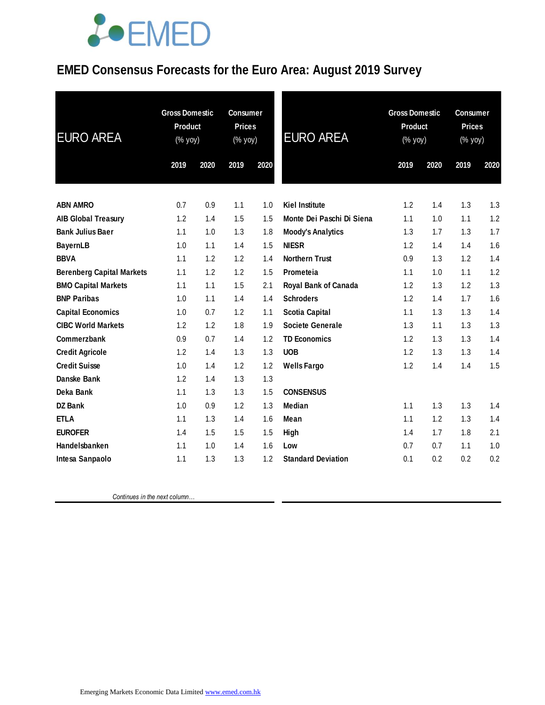### **EMED Consensus Forecasts for the Euro Area: August 2019 Survey**

| <b>EURO AREA</b>                 | <b>Gross Domestic</b><br>Product<br>(% yoy) |      | <b>Consumer</b><br><b>Prices</b><br>(% yoy) |      | <b>EURO AREA</b>            | <b>Gross Domestic</b><br><b>Product</b><br>(% yoy) |      | <b>Consumer</b><br><b>Prices</b><br>$(\%$ yoy) |      |
|----------------------------------|---------------------------------------------|------|---------------------------------------------|------|-----------------------------|----------------------------------------------------|------|------------------------------------------------|------|
|                                  | 2019                                        | 2020 | 2019                                        | 2020 |                             | 2019                                               | 2020 | 2019                                           | 2020 |
|                                  |                                             |      |                                             |      |                             |                                                    |      |                                                |      |
| <b>ABN AMRO</b>                  | 0.7                                         | 0.9  | 1.1                                         | 1.0  | <b>Kiel Institute</b>       | 1.2                                                | 1.4  | 1.3                                            | 1.3  |
| <b>AIB Global Treasury</b>       | 1.2                                         | 1.4  | 1.5                                         | 1.5  | Monte Dei Paschi Di Siena   | 1.1                                                | 1.0  | 1.1                                            | 1.2  |
| <b>Bank Julius Baer</b>          | 1.1                                         | 1.0  | 1.3                                         | 1.8  | <b>Moody's Analytics</b>    | 1.3                                                | 1.7  | 1.3                                            | 1.7  |
| <b>BayernLB</b>                  | 1.0                                         | 1.1  | 1.4                                         | 1.5  | <b>NIESR</b>                | 1.2                                                | 1.4  | 1.4                                            | 1.6  |
| <b>BBVA</b>                      | 1.1                                         | 1.2  | 1.2                                         | 1.4  | <b>Northern Trust</b>       | 0.9                                                | 1.3  | 1.2                                            | 1.4  |
| <b>Berenberg Capital Markets</b> | 1.1                                         | 1.2  | 1.2                                         | 1.5  | Prometeia                   | 1.1                                                | 1.0  | 1.1                                            | 1.2  |
| <b>BMO Capital Markets</b>       | 1.1                                         | 1.1  | 1.5                                         | 2.1  | <b>Royal Bank of Canada</b> | 1.2                                                | 1.3  | 1.2                                            | 1.3  |
| <b>BNP Paribas</b>               | 1.0                                         | 1.1  | 1.4                                         | 1.4  | <b>Schroders</b>            | 1.2                                                | 1.4  | 1.7                                            | 1.6  |
| <b>Capital Economics</b>         | 1.0                                         | 0.7  | 1.2                                         | 1.1  | <b>Scotia Capital</b>       | 1.1                                                | 1.3  | 1.3                                            | 1.4  |
| <b>CIBC World Markets</b>        | 1.2                                         | 1.2  | 1.8                                         | 1.9  | <b>Societe Generale</b>     | 1.3                                                | 1.1  | 1.3                                            | 1.3  |
| <b>Commerzbank</b>               | 0.9                                         | 0.7  | 1.4                                         | 1.2  | <b>TD Economics</b>         | 1.2                                                | 1.3  | 1.3                                            | 1.4  |
| <b>Credit Agricole</b>           | 1.2                                         | 1.4  | 1.3                                         | 1.3  | <b>UOB</b>                  | 1.2                                                | 1.3  | 1.3                                            | 1.4  |
| <b>Credit Suisse</b>             | 1.0                                         | 1.4  | 1.2                                         | 1.2  | <b>Wells Fargo</b>          | 1.2                                                | 1.4  | 1.4                                            | 1.5  |
| Danske Bank                      | 1.2                                         | 1.4  | 1.3                                         | 1.3  |                             |                                                    |      |                                                |      |
| Deka Bank                        | 1.1                                         | 1.3  | 1.3                                         | 1.5  | <b>CONSENSUS</b>            |                                                    |      |                                                |      |
| <b>DZ Bank</b>                   | 1.0                                         | 0.9  | 1.2                                         | 1.3  | <b>Median</b>               | 1.1                                                | 1.3  | 1.3                                            | 1.4  |
| <b>ETLA</b>                      | 1.1                                         | 1.3  | 1.4                                         | 1.6  | Mean                        | 1.1                                                | 1.2  | 1.3                                            | 1.4  |
| <b>EUROFER</b>                   | 1.4                                         | 1.5  | 1.5                                         | 1.5  | High                        | 1.4                                                | 1.7  | 1.8                                            | 2.1  |
| Handelsbanken                    | 1.1                                         | 1.0  | 1.4                                         | 1.6  | Low                         | 0.7                                                | 0.7  | 1.1                                            | 1.0  |
| Intesa Sanpaolo                  | 1.1                                         | 1.3  | 1.3                                         | 1.2  | <b>Standard Deviation</b>   | 0.1                                                | 0.2  | 0.2                                            | 0.2  |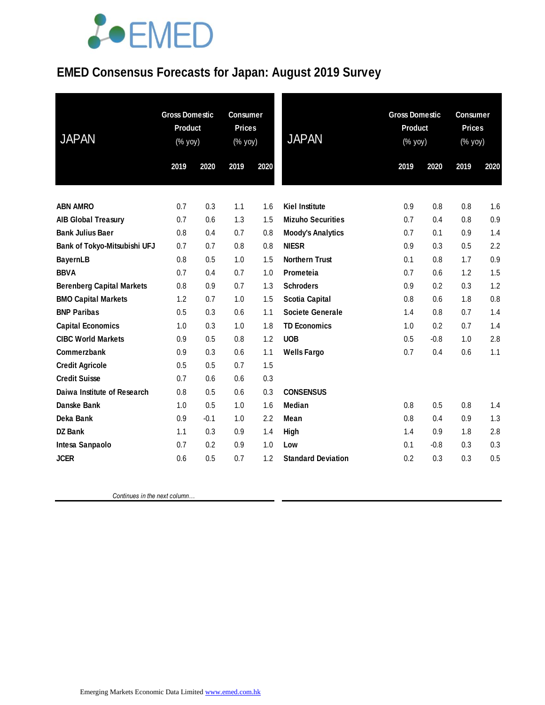### **EMED Consensus Forecasts for Japan: August 2019 Survey**

| <b>JAPAN</b>                     | <b>Gross Domestic</b><br><b>Product</b><br>(% yoy) |        | <b>Consumer</b><br><b>Prices</b><br>(% yoy) |      | <b>JAPAN</b>              | <b>Gross Domestic</b><br><b>Product</b><br>(% yoy) |        | <b>Consumer</b><br><b>Prices</b><br>(% yoy) |      |
|----------------------------------|----------------------------------------------------|--------|---------------------------------------------|------|---------------------------|----------------------------------------------------|--------|---------------------------------------------|------|
|                                  | 2019                                               | 2020   | 2019                                        | 2020 |                           | 2019                                               | 2020   | 2019                                        | 2020 |
|                                  |                                                    |        |                                             |      |                           |                                                    |        |                                             |      |
| <b>ABN AMRO</b>                  | 0.7                                                | 0.3    | 1.1                                         | 1.6  | <b>Kiel Institute</b>     | 0.9                                                | 0.8    | 0.8                                         | 1.6  |
| <b>AIB Global Treasury</b>       | 0.7                                                | 0.6    | 1.3                                         | 1.5  | <b>Mizuho Securities</b>  | 0.7                                                | 0.4    | 0.8                                         | 0.9  |
| <b>Bank Julius Baer</b>          | 0.8                                                | 0.4    | 0.7                                         | 0.8  | <b>Moody's Analytics</b>  | 0.7                                                | 0.1    | 0.9                                         | 1.4  |
| Bank of Tokyo-Mitsubishi UFJ     | 0.7                                                | 0.7    | 0.8                                         | 0.8  | <b>NIESR</b>              | 0.9                                                | 0.3    | 0.5                                         | 2.2  |
| <b>BayernLB</b>                  | 0.8                                                | 0.5    | 1.0                                         | 1.5  | <b>Northern Trust</b>     | 0.1                                                | 0.8    | 1.7                                         | 0.9  |
| <b>BBVA</b>                      | 0.7                                                | 0.4    | 0.7                                         | 1.0  | Prometeia                 | 0.7                                                | 0.6    | 1.2                                         | 1.5  |
| <b>Berenberg Capital Markets</b> | 0.8                                                | 0.9    | 0.7                                         | 1.3  | <b>Schroders</b>          | 0.9                                                | 0.2    | 0.3                                         | 1.2  |
| <b>BMO Capital Markets</b>       | 1.2                                                | 0.7    | 1.0                                         | 1.5  | <b>Scotia Capital</b>     | 0.8                                                | 0.6    | 1.8                                         | 0.8  |
| <b>BNP Paribas</b>               | 0.5                                                | 0.3    | 0.6                                         | 1.1  | <b>Societe Generale</b>   | 1.4                                                | 0.8    | 0.7                                         | 1.4  |
| <b>Capital Economics</b>         | 1.0                                                | 0.3    | 1.0                                         | 1.8  | <b>TD Economics</b>       | 1.0                                                | 0.2    | 0.7                                         | 1.4  |
| <b>CIBC World Markets</b>        | 0.9                                                | 0.5    | 0.8                                         | 1.2  | <b>UOB</b>                | 0.5                                                | $-0.8$ | 1.0                                         | 2.8  |
| <b>Commerzbank</b>               | 0.9                                                | 0.3    | 0.6                                         | 1.1  | <b>Wells Fargo</b>        | 0.7                                                | 0.4    | 0.6                                         | 1.1  |
| <b>Credit Agricole</b>           | 0.5                                                | 0.5    | 0.7                                         | 1.5  |                           |                                                    |        |                                             |      |
| <b>Credit Suisse</b>             | 0.7                                                | 0.6    | 0.6                                         | 0.3  |                           |                                                    |        |                                             |      |
| Daiwa Institute of Research      | 0.8                                                | 0.5    | 0.6                                         | 0.3  | <b>CONSENSUS</b>          |                                                    |        |                                             |      |
| Danske Bank                      | 1.0                                                | 0.5    | 1.0                                         | 1.6  | <b>Median</b>             | 0.8                                                | 0.5    | 0.8                                         | 1.4  |
| Deka Bank                        | 0.9                                                | $-0.1$ | 1.0                                         | 2.2  | Mean                      | 0.8                                                | 0.4    | 0.9                                         | 1.3  |
| DZ Bank                          | 1.1                                                | 0.3    | 0.9                                         | 1.4  | High                      | 1.4                                                | 0.9    | 1.8                                         | 2.8  |
| Intesa Sanpaolo                  | 0.7                                                | 0.2    | 0.9                                         | 1.0  | Low                       | 0.1                                                | $-0.8$ | 0.3                                         | 0.3  |
| <b>JCER</b>                      | 0.6                                                | 0.5    | 0.7                                         | 1.2  | <b>Standard Deviation</b> | 0.2                                                | 0.3    | 0.3                                         | 0.5  |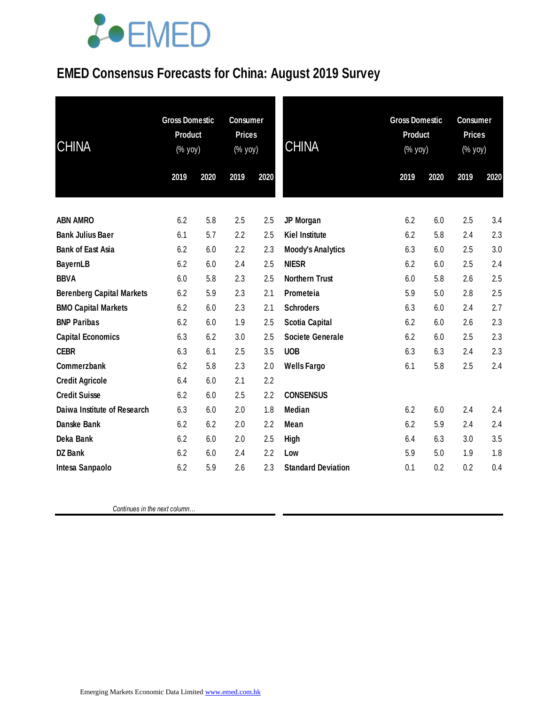### **EMED Consensus Forecasts for China: August 2019 Survey**

| <b>CHINA</b>                     | <b>Gross Domestic</b><br><b>Product</b><br>(% yoy) |      | <b>Consumer</b><br><b>Prices</b><br>(% yoy) |      | <b>CHINA</b>              | <b>Gross Domestic</b><br><b>Product</b><br>(% yoy) |      | <b>Consumer</b><br><b>Prices</b><br>(% yoy) |      |
|----------------------------------|----------------------------------------------------|------|---------------------------------------------|------|---------------------------|----------------------------------------------------|------|---------------------------------------------|------|
|                                  | 2019                                               | 2020 | 2019                                        | 2020 |                           | 2019                                               | 2020 | 2019                                        | 2020 |
| <b>ABN AMRO</b>                  | 6.2                                                | 5.8  | 2.5                                         | 2.5  | JP Morgan                 | 6.2                                                | 6.0  | 2.5                                         | 3.4  |
| <b>Bank Julius Baer</b>          | 6.1                                                | 5.7  | 2.2                                         | 2.5  | <b>Kiel Institute</b>     | 6.2                                                | 5.8  | 2.4                                         | 2.3  |
| <b>Bank of East Asia</b>         | 6.2                                                | 6.0  | 2.2                                         | 2.3  | <b>Moody's Analytics</b>  | 6.3                                                | 6.0  | 2.5                                         | 3.0  |
| <b>BayernLB</b>                  | 6.2                                                | 6.0  | 2.4                                         | 2.5  | <b>NIESR</b>              | 6.2                                                | 6.0  | 2.5                                         | 2.4  |
| <b>BBVA</b>                      | 6.0                                                | 5.8  | 2.3                                         | 2.5  | <b>Northern Trust</b>     | 6.0                                                | 5.8  | 2.6                                         | 2.5  |
| <b>Berenberg Capital Markets</b> | 6.2                                                | 5.9  | 2.3                                         | 2.1  | Prometeia                 | 5.9                                                | 5.0  | 2.8                                         | 2.5  |
| <b>BMO Capital Markets</b>       | 6.2                                                | 6.0  | 2.3                                         | 2.1  | <b>Schroders</b>          | 6.3                                                | 6.0  | 2.4                                         | 2.7  |
| <b>BNP Paribas</b>               | 6.2                                                | 6.0  | 1.9                                         | 2.5  | <b>Scotia Capital</b>     | 6.2                                                | 6.0  | 2.6                                         | 2.3  |
| <b>Capital Economics</b>         | 6.3                                                | 6.2  | 3.0                                         | 2.5  | <b>Societe Generale</b>   | 6.2                                                | 6.0  | 2.5                                         | 2.3  |
| <b>CEBR</b>                      | 6.3                                                | 6.1  | 2.5                                         | 3.5  | <b>UOB</b>                | 6.3                                                | 6.3  | 2.4                                         | 2.3  |
| Commerzbank                      | 6.2                                                | 5.8  | 2.3                                         | 2.0  | <b>Wells Fargo</b>        | 6.1                                                | 5.8  | 2.5                                         | 2.4  |
| <b>Credit Agricole</b>           | 6.4                                                | 6.0  | 2.1                                         | 2.2  |                           |                                                    |      |                                             |      |
| <b>Credit Suisse</b>             | 6.2                                                | 6.0  | 2.5                                         | 2.2  | <b>CONSENSUS</b>          |                                                    |      |                                             |      |
| Daiwa Institute of Research      | 6.3                                                | 6.0  | 2.0                                         | 1.8  | Median                    | 6.2                                                | 6.0  | 2.4                                         | 2.4  |
| <b>Danske Bank</b>               | 6.2                                                | 6.2  | 2.0                                         | 2.2  | Mean                      | 6.2                                                | 5.9  | 2.4                                         | 2.4  |
| Deka Bank                        | 6.2                                                | 6.0  | 2.0                                         | 2.5  | High                      | 6.4                                                | 6.3  | 3.0                                         | 3.5  |
| <b>DZ Bank</b>                   | 6.2                                                | 6.0  | 2.4                                         | 2.2  | Low                       | 5.9                                                | 5.0  | 1.9                                         | 1.8  |
| Intesa Sanpaolo                  | 6.2                                                | 5.9  | 2.6                                         | 2.3  | <b>Standard Deviation</b> | 0.1                                                | 0.2  | 0.2                                         | 0.4  |